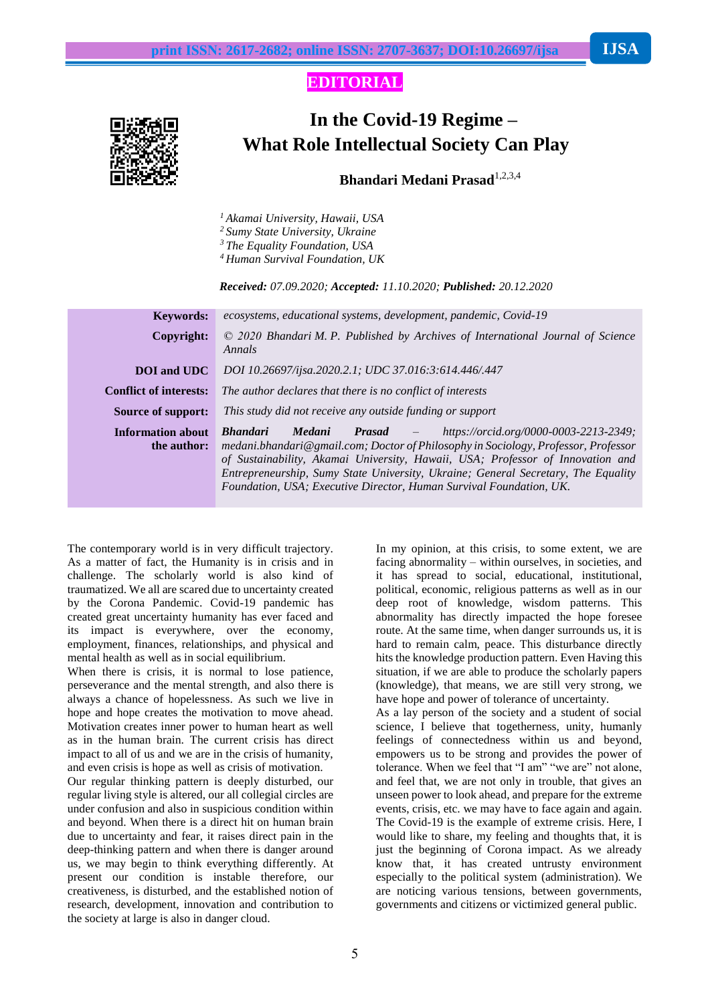## **EDITORIAL**

# **In the Covid-19 Regime – What Role Intellectual Society Can Play**

### **Bhandari Medani Prasad**1,2,3,4

*<sup>1</sup> Akamai University, Hawaii, USA*

*<sup>2</sup> Sumy State University, Ukraine*

*<sup>3</sup> The Equality Foundation, USA*

*<sup>4</sup> Human Survival Foundation, UK*

*Received: 07.09.2020; Accepted: 11.10.2020; Published: 20.12.2020*

| <b>Keywords:</b>                        | ecosystems, educational systems, development, pandemic, Covid-19                                                                                                                                                                                                                                                                                                                                                                               |
|-----------------------------------------|------------------------------------------------------------------------------------------------------------------------------------------------------------------------------------------------------------------------------------------------------------------------------------------------------------------------------------------------------------------------------------------------------------------------------------------------|
| Copyright:                              | $\odot$ 2020 Bhandari M. P. Published by Archives of International Journal of Science<br>Annals                                                                                                                                                                                                                                                                                                                                                |
| <b>DOI</b> and UDC                      | DOI 10.26697/ijsa.2020.2.1; UDC 37.016:3:614.446/.447                                                                                                                                                                                                                                                                                                                                                                                          |
| <b>Conflict of interests:</b>           | The author declares that there is no conflict of interests                                                                                                                                                                                                                                                                                                                                                                                     |
| Source of support:                      | This study did not receive any outside funding or support                                                                                                                                                                                                                                                                                                                                                                                      |
| <b>Information about</b><br>the author: | <b>Bhandari</b><br><b>Medani</b><br>https://orcid.org/0000-0003-2213-2349;<br><b>Prasad</b><br>$\sim$ $ -$<br>medani.bhandari@gmail.com; Doctor of Philosophy in Sociology, Professor, Professor<br>of Sustainability, Akamai University, Hawaii, USA; Professor of Innovation and<br>Entrepreneurship, Sumy State University, Ukraine; General Secretary, The Equality<br>Foundation, USA; Executive Director, Human Survival Foundation, UK. |

The contemporary world is in very difficult trajectory. As a matter of fact, the Humanity is in crisis and in challenge. The scholarly world is also kind of traumatized. We all are scared due to uncertainty created by the Corona Pandemic. Covid-19 pandemic has created great uncertainty humanity has ever faced and its impact is everywhere, over the economy, employment, finances, relationships, and physical and mental health as well as in social equilibrium.

When there is crisis, it is normal to lose patience, perseverance and the mental strength, and also there is always a chance of hopelessness. As such we live in hope and hope creates the motivation to move ahead. Motivation creates inner power to human heart as well as in the human brain. The current crisis has direct impact to all of us and we are in the crisis of humanity, and even crisis is hope as well as crisis of motivation.

Our regular thinking pattern is deeply disturbed, our regular living style is altered, our all collegial circles are under confusion and also in suspicious condition within and beyond. When there is a direct hit on human brain due to uncertainty and fear, it raises direct pain in the deep-thinking pattern and when there is danger around us, we may begin to think everything differently. At present our condition is instable therefore, our creativeness, is disturbed, and the established notion of research, development, innovation and contribution to the society at large is also in danger cloud.

In my opinion, at this crisis, to some extent, we are facing abnormality – within ourselves, in societies, and it has spread to social, educational, institutional, political, economic, religious patterns as well as in our deep root of knowledge, wisdom patterns. This abnormality has directly impacted the hope foresee route. At the same time, when danger surrounds us, it is hard to remain calm, peace. This disturbance directly hits the knowledge production pattern. Even Having this situation, if we are able to produce the scholarly papers (knowledge), that means, we are still very strong, we have hope and power of tolerance of uncertainty.

As a lay person of the society and a student of social science, I believe that togetherness, unity, humanly feelings of connectedness within us and beyond, empowers us to be strong and provides the power of tolerance. When we feel that "I am" "we are" not alone, and feel that, we are not only in trouble, that gives an unseen power to look ahead, and prepare for the extreme events, crisis, etc. we may have to face again and again. The Covid-19 is the example of extreme crisis. Here, I would like to share, my feeling and thoughts that, it is just the beginning of Corona impact. As we already know that, it has created untrusty environment especially to the political system (administration). We are noticing various tensions, between governments, governments and citizens or victimized general public.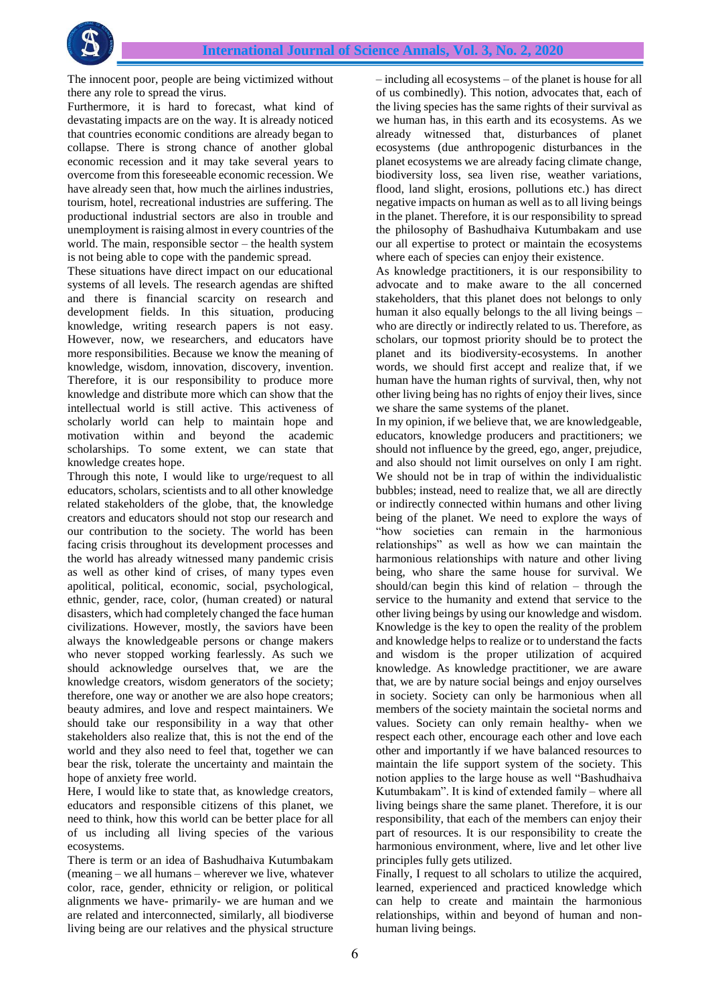

The innocent poor, people are being victimized without there any role to spread the virus.

Furthermore, it is hard to forecast, what kind of devastating impacts are on the way. It is already noticed that countries economic conditions are already began to collapse. There is strong chance of another global economic recession and it may take several years to overcome from this foreseeable economic recession. We have already seen that, how much the airlines industries, tourism, hotel, recreational industries are suffering. The productional industrial sectors are also in trouble and unemployment is raising almost in every countries of the world. The main, responsible sector – the health system is not being able to cope with the pandemic spread.

These situations have direct impact on our educational systems of all levels. The research agendas are shifted and there is financial scarcity on research and development fields. In this situation, producing knowledge, writing research papers is not easy. However, now, we researchers, and educators have more responsibilities. Because we know the meaning of knowledge, wisdom, innovation, discovery, invention. Therefore, it is our responsibility to produce more knowledge and distribute more which can show that the intellectual world is still active. This activeness of scholarly world can help to maintain hope and motivation within and beyond the academic scholarships. To some extent, we can state that knowledge creates hope.

Through this note, I would like to urge/request to all educators, scholars, scientists and to all other knowledge related stakeholders of the globe, that, the knowledge creators and educators should not stop our research and our contribution to the society. The world has been facing crisis throughout its development processes and the world has already witnessed many pandemic crisis as well as other kind of crises, of many types even apolitical, political, economic, social, psychological, ethnic, gender, race, color, (human created) or natural disasters, which had completely changed the face human civilizations. However, mostly, the saviors have been always the knowledgeable persons or change makers who never stopped working fearlessly. As such we should acknowledge ourselves that, we are the knowledge creators, wisdom generators of the society; therefore, one way or another we are also hope creators; beauty admires, and love and respect maintainers. We should take our responsibility in a way that other stakeholders also realize that, this is not the end of the world and they also need to feel that, together we can bear the risk, tolerate the uncertainty and maintain the hope of anxiety free world.

Here, I would like to state that, as knowledge creators, educators and responsible citizens of this planet, we need to think, how this world can be better place for all of us including all living species of the various ecosystems.

There is term or an idea of Bashudhaiva Kutumbakam (meaning – we all humans – wherever we live, whatever color, race, gender, ethnicity or religion, or political alignments we have- primarily- we are human and we are related and interconnected, similarly, all biodiverse living being are our relatives and the physical structure

– including all ecosystems – of the planet is house for all of us combinedly). This notion, advocates that, each of the living species has the same rights of their survival as we human has, in this earth and its ecosystems. As we already witnessed that, disturbances of planet ecosystems (due anthropogenic disturbances in the planet ecosystems we are already facing climate change, biodiversity loss, sea liven rise, weather variations, flood, land slight, erosions, pollutions etc.) has direct negative impacts on human as well as to all living beings in the planet. Therefore, it is our responsibility to spread the philosophy of Bashudhaiva Kutumbakam and use our all expertise to protect or maintain the ecosystems where each of species can enjoy their existence.

As knowledge practitioners, it is our responsibility to advocate and to make aware to the all concerned stakeholders, that this planet does not belongs to only human it also equally belongs to the all living beings – who are directly or indirectly related to us. Therefore, as scholars, our topmost priority should be to protect the planet and its biodiversity-ecosystems. In another words, we should first accept and realize that, if we human have the human rights of survival, then, why not other living being has no rights of enjoy their lives, since we share the same systems of the planet.

In my opinion, if we believe that, we are knowledgeable, educators, knowledge producers and practitioners; we should not influence by the greed, ego, anger, prejudice, and also should not limit ourselves on only I am right. We should not be in trap of within the individualistic bubbles; instead, need to realize that, we all are directly or indirectly connected within humans and other living being of the planet. We need to explore the ways of "how societies can remain in the harmonious relationships" as well as how we can maintain the harmonious relationships with nature and other living being, who share the same house for survival. We should/can begin this kind of relation – through the service to the humanity and extend that service to the other living beings by using our knowledge and wisdom. Knowledge is the key to open the reality of the problem and knowledge helps to realize or to understand the facts and wisdom is the proper utilization of acquired knowledge. As knowledge practitioner, we are aware that, we are by nature social beings and enjoy ourselves in society. Society can only be harmonious when all members of the society maintain the societal norms and values. Society can only remain healthy- when we respect each other, encourage each other and love each other and importantly if we have balanced resources to maintain the life support system of the society. This notion applies to the large house as well "Bashudhaiva Kutumbakam". It is kind of extended family – where all living beings share the same planet. Therefore, it is our responsibility, that each of the members can enjoy their part of resources. It is our responsibility to create the harmonious environment, where, live and let other live principles fully gets utilized.

Finally, I request to all scholars to utilize the acquired, learned, experienced and practiced knowledge which can help to create and maintain the harmonious relationships, within and beyond of human and nonhuman living beings.